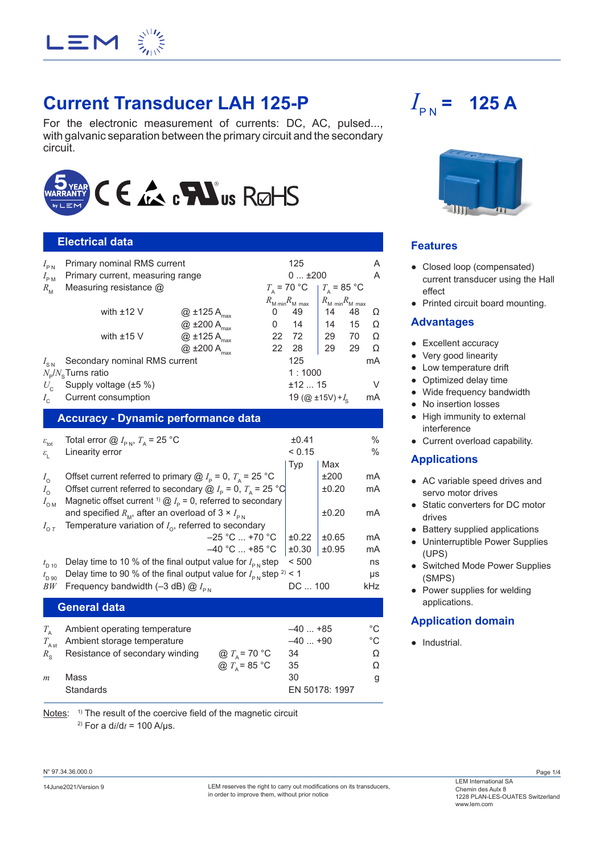

# **Current Transducer LAH 125-P**

For the electronic measurement of currents: DC, AC, pulsed..., with galvanic separation between the primary circuit and the secondary circuit.



# **Electrical data**

| $I_{\rm PN}$                                | Primary nominal RMS current       |                           |                                     | 125                      |                                    |                     | A  |
|---------------------------------------------|-----------------------------------|---------------------------|-------------------------------------|--------------------------|------------------------------------|---------------------|----|
| $I_{\rm PM}$                                | Primary current, measuring range  |                           |                                     | $0+200$                  |                                    |                     | A  |
| $R_{\rm M}$                                 | Measuring resistance $@$          |                           |                                     | $T_{\rm A}$ = 70 °C      |                                    | $T_{\rm A}$ = 85 °C |    |
|                                             |                                   |                           | $R_{\text{M min}} R_{\text{M max}}$ |                          | $R_{\text{M min}}R_{\text{M max}}$ |                     |    |
|                                             | with $±12$ V                      | $@$ ±125 A $_{max}$       | 0                                   | 49                       | 14                                 | 48                  | Ω  |
|                                             |                                   | $@$ ±200 A $_{max}$       | 0                                   | 14                       | 14                                 | 15                  | Ω  |
|                                             | with $±15$ V                      | $@$ ±125 A $_{max}$       | 22                                  | 72                       | 29                                 | 70                  | Ω  |
|                                             |                                   | $@$ ±200 A <sub>max</sub> | 22                                  | 28                       | 29                                 | 29                  | Ω  |
| $I_{\rm SN}$                                | Secondary nominal RMS current     |                           |                                     | 125                      |                                    |                     | mA |
|                                             | $N_{\rm e}/N_{\rm e}$ Turns ratio |                           |                                     | 1:1000                   |                                    |                     |    |
| $U_c$                                       | Supply voltage (±5 %)             |                           |                                     | $±12$ 15                 |                                    |                     | V  |
| $I_{\alpha}$                                | Current consumption               |                           |                                     | 19 (@ $\pm$ 15V) + $I_c$ |                                    |                     | mA |
| <u> Accuracy - Dynamic performance data</u> |                                   |                           |                                     |                          |                                    |                     |    |

|                                | <u>,</u> .                                                                                                                                                                    |                          |                 |               |                       |
|--------------------------------|-------------------------------------------------------------------------------------------------------------------------------------------------------------------------------|--------------------------|-----------------|---------------|-----------------------|
| $\varepsilon_{\rm tot}$        | Total error $@I_{\text{PN}}$ , $T_{\text{A}}$ = 25 °C                                                                                                                         |                          | ±0.41<br>< 0.15 |               | $\%$<br>$\frac{0}{0}$ |
| $\varepsilon_{\rm L}$          | Linearity error                                                                                                                                                               |                          |                 | Max           |                       |
| $I_{\rm O}$                    | Offset current referred to primary $@I_{p} = 0, T_{p} = 25 °C$                                                                                                                |                          | Typ             | ±200<br>±0.20 | mA<br>mA              |
| $I_{\rm O}$<br>$I_{\text{OM}}$ | Offset current referred to secondary $@I_{p} = 0$ , $T_{\Delta} = 25 °C$<br>Magnetic offset current <sup>1)</sup> $\textcircled{a}$ $I_{\text{p}}$ = 0, referred to secondary |                          |                 |               |                       |
|                                | and specified $R_{\rm M}$ , after an overload of 3 × $I_{\rm PN}$                                                                                                             |                          |                 | ±0.20         | mA                    |
| $I_{\text{O }T}$               | Temperature variation of $I_{\alpha}$ , referred to secondary                                                                                                                 |                          |                 |               |                       |
|                                |                                                                                                                                                                               | $-25$ °C $\ldots$ +70 °C | ±0.22           | ±0.65         | mA                    |
|                                |                                                                                                                                                                               | $-40$ °C  +85 °C         | ±0.30           | ±0.95         | mA                    |
| $t_{\rm D,10}$                 | Delay time to 10 % of the final output value for $I_{\rm ph}$ step                                                                                                            |                          | < 500           |               | ns                    |
| $t_{\rm D,90}$                 | Delay time to 90 % of the final output value for $I_{\rm ph}$ step <sup>2)</sup> < 1                                                                                          |                          |                 |               | μs                    |
| BW                             | Frequency bandwidth (-3 dB) $@I_{\scriptscriptstyle{PM}}$                                                                                                                     |                          |                 | DC  100       |                       |
|                                | <b>General data</b>                                                                                                                                                           |                          |                 |               |                       |
| $T_{\rm A}$                    | Ambient operating temperature                                                                                                                                                 |                          | $-40+85$        |               | °C                    |
| $T_{\rm Ast}$                  | Ambient storage temperature                                                                                                                                                   |                          | $-40+90$        |               | $^{\circ}C$           |
| $R_{\rm s}$                    | Resistance of secondary winding                                                                                                                                               | @ $T_{\rm A}$ = 70 °C    | 34              |               | Ω                     |
|                                |                                                                                                                                                                               | @ $T_{\rm A}$ = 85 °C    | 35              |               | Ω                     |
|                                |                                                                                                                                                                               |                          |                 |               |                       |

 $m$  Mass  $\qquad \qquad$  30 g Standards EN 50178: 1997

Notes: <sup>1)</sup> The result of the coercive field of the magnetic circuit <sup>2)</sup> For a d $i/dt = 100$  A/µs.

 $I_{\rm PN}$  = **= 125 A**



## **Features**

- Closed loop (compensated) current transducer using the Hall effect
- Printed circuit board mounting.

#### **Advantages**

- Excellent accuracy
- Very good linearity
- Low temperature drift
- Optimized delay time
- Wide frequency bandwidth
- No insertion losses
- High immunity to external interference
- Current overload capability.

#### **Applications**

- AC variable speed drives and servo motor drives
- Static converters for DC motor drives
- Battery supplied applications
- Uninterruptible Power Supplies (UPS)
- Switched Mode Power Supplies (SMPS)
- Power supplies for welding applications.

## **Application domain**

● Industrial.

N° 97.34.36.000.0

LEM International SA<br>14June2021/Version 9 LEM reserves the right to carry out modifications on its transducers, Chemin des Aulx 8 in order to improve them, without prior notice

Page 1/4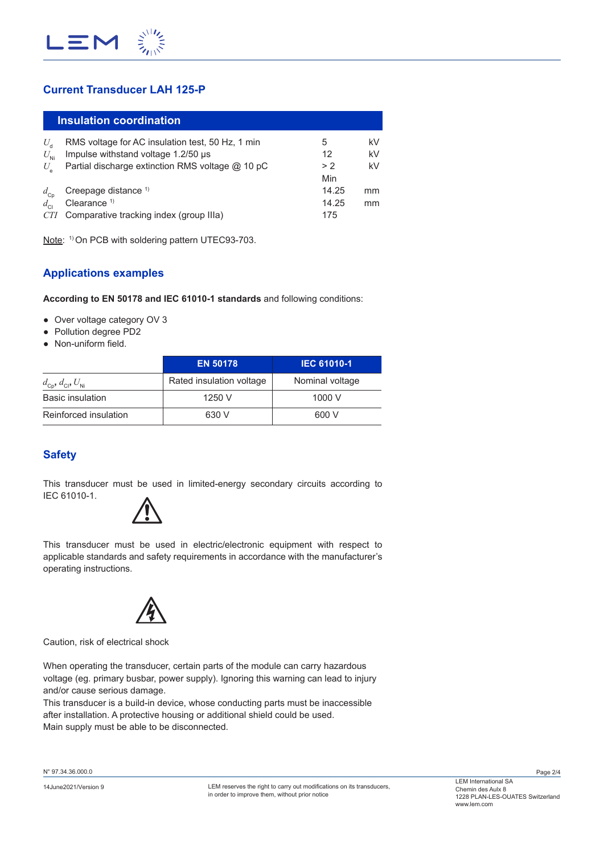

# **Current Transducer LAH 125-P**

|              | Insulation coordination                          |       |    |
|--------------|--------------------------------------------------|-------|----|
| U.           | RMS voltage for AC insulation test, 50 Hz, 1 min | 5     | kV |
| $U_{\rm Ni}$ | Impulse withstand voltage 1.2/50 µs              | 12    | kV |
| $U_{\rm e}$  | Partial discharge extinction RMS voltage @ 10 pC | > 2   | kV |
|              |                                                  | Min   |    |
| $d_{\rm cp}$ | Creepage distance <sup>1)</sup>                  | 14.25 | mm |
| $d_{\rm cl}$ | Clearance $1$                                    | 14.25 | mm |
| <i>CTI</i>   | Comparative tracking index (group IIIa)          | 175   |    |

Note: <sup>1)</sup> On PCB with soldering pattern UTEC93-703.

## **Applications examples**

**According to EN 50178 and IEC 61010-1 standards** and following conditions:

- Over voltage category OV 3
- Pollution degree PD2
- Non-uniform field.

|                                                     | <b>EN 50178</b>          | <b>IEC 61010-1</b> |  |
|-----------------------------------------------------|--------------------------|--------------------|--|
| $d_{\text{cp}}$ , $d_{\text{cl}}$ , $U_{\text{Ni}}$ | Rated insulation voltage | Nominal voltage    |  |
| <b>Basic insulation</b>                             | 1250 V                   | 1000V              |  |
| Reinforced insulation                               | 630 V                    | 600 V              |  |

# **Safety**

This transducer must be used in limited-energy secondary circuits according to IEC 61010-1.



This transducer must be used in electric/electronic equipment with respect to applicable standards and safety requirements in accordance with the manufacturer's operating instructions.



Caution, risk of electrical shock

When operating the transducer, certain parts of the module can carry hazardous voltage (eg. primary busbar, power supply). Ignoring this warning can lead to injury and/or cause serious damage.

This transducer is a build-in device, whose conducting parts must be inaccessible after installation. A protective housing or additional shield could be used. Main supply must be able to be disconnected.

N° 97.34.36.000.0

Page 2/4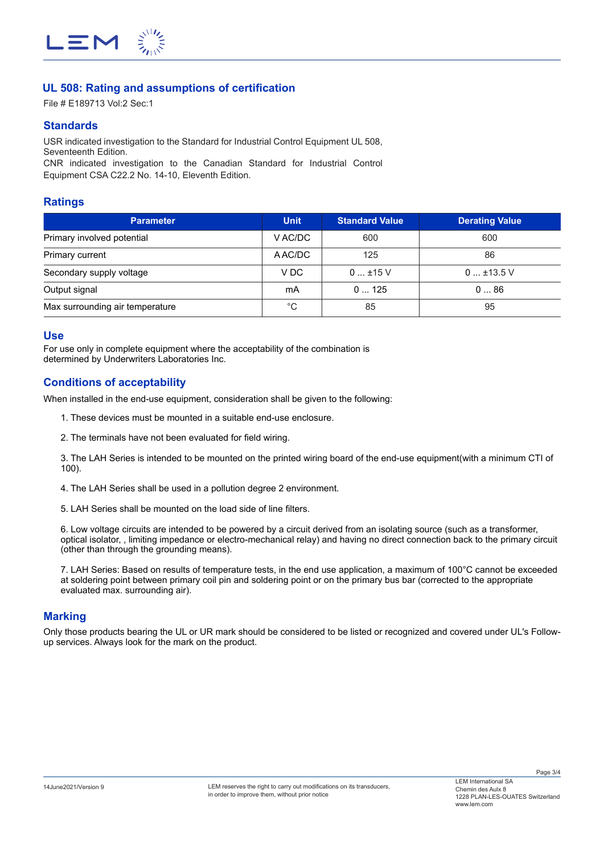

## **UL 508: Rating and assumptions of certification**

File # E189713 Vol:2 Sec:1

#### **Standards**

USR indicated investigation to the Standard for Industrial Control Equipment UL 508, Seventeenth Edition.

CNR indicated investigation to the Canadian Standard for Industrial Control Equipment CSA C22.2 No. 14-10, Eleventh Edition.

#### **Ratings**

| <b>Parameter</b>                | <b>Unit</b> | <b>Standard Value</b> | <b>Derating Value</b> |
|---------------------------------|-------------|-----------------------|-----------------------|
| Primary involved potential      | V AC/DC     | 600                   | 600                   |
| Primary current                 | A AC/DC     | 125                   | 86                    |
| Secondary supply voltage        | V DC        | $0$ ±15 V             | $0$ ±13.5 V           |
| Output signal                   | mA          | 0125                  | 086                   |
| Max surrounding air temperature | °C          | 85                    | 95                    |

#### **Use**

For use only in complete equipment where the acceptability of the combination is determined by Underwriters Laboratories Inc.

#### **Conditions of acceptability**

When installed in the end-use equipment, consideration shall be given to the following:

- 1. These devices must be mounted in a suitable end-use enclosure.
- 2. The terminals have not been evaluated for field wiring.

3. The LAH Series is intended to be mounted on the printed wiring board of the end-use equipment(with a minimum CTI of 100).

4. The LAH Series shall be used in a pollution degree 2 environment.

5. LAH Series shall be mounted on the load side of line filters.

6. Low voltage circuits are intended to be powered by a circuit derived from an isolating source (such as a transformer, optical isolator, , limiting impedance or electro-mechanical relay) and having no direct connection back to the primary circuit (other than through the grounding means).

7. LAH Series: Based on results of temperature tests, in the end use application, a maximum of 100°C cannot be exceeded at soldering point between primary coil pin and soldering point or on the primary bus bar (corrected to the appropriate evaluated max. surrounding air).

#### **Marking**

Only those products bearing the UL or UR mark should be considered to be listed or recognized and covered under UL's Followup services. Always look for the mark on the product.

Page 3/4